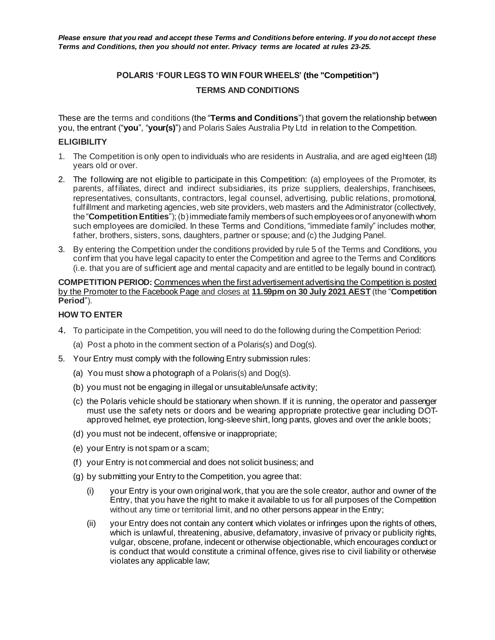# **POLARIS 'FOUR LEGS TO WIN FOUR WHEELS' (the "Competition")**

# **TERMS AND CONDITIONS**

These are the terms and conditions (the "**Terms and Conditions**") that govern the relationship between you, the entrant ("**you**", "**your(s)**") and Polaris Sales Australia Pty Ltd in relation to the Competition.

### **ELIGIBILITY**

- 1. The Competition is only open to individuals who are residents in Australia, and are aged eighteen (18) years old or over.
- 2. The following are not eligible to participate in this Competition: (a) employees of the Promoter, its parents, affiliates, direct and indirect subsidiaries, its prize suppliers, dealerships, franchisees, representatives, consultants, contractors, legal counsel, advertising, public relations, promotional, fulfillment and marketing agencies, web site providers, web masters and the Administrator (collectively, the "**Competition Entities**"); (b) immediate family members of such employees or of anyone with whom such employees are domiciled. In these Terms and Conditions, "immediate family" includes mother, father, brothers, sisters, sons, daughters, partner or spouse; and (c) the Judging Panel.
- 3. By entering the Competition under the conditions provided by rule 5 of the Terms and Conditions, you confirm that you have legal capacity to enter the Competition and agree to the Terms and Conditions (i.e. that you are of sufficient age and mental capacity and are entitled to be legally bound in contract).

#### **COMPETITION PERIOD:** Commences when the first advertisement advertising the Competition is posted by the Promoter to the Facebook Page and closes at **11.59pm on 30 July 2021 AEST** (the "**Competition Period**").

### **HOW TO ENTER**

- 4. To participate in the Competition, you will need to do the following during the Competition Period:
	- (a) Post a photo in the comment section of a Polaris(s) and Dog(s).
- 5. Your Entry must comply with the following Entry submission rules:
	- (a) You must show a photograph of a Polaris(s) and Dog(s).
	- (b) you must not be engaging in illegal or unsuitable/unsafe activity;
	- (c) the Polaris vehicle should be stationary when shown. If it is running, the operator and passenger must use the safety nets or doors and be wearing appropriate protective gear including DOTapproved helmet, eye protection, long-sleeve shirt, long pants, gloves and over the ankle boots;
	- (d) you must not be indecent, offensive or inappropriate;
	- (e) your Entry is not spam or a scam;
	- (f) your Entry is not commercial and does not solicit business; and
	- (g) by submitting your Entry to the Competition, you agree that:
		- (i) your Entry is your own original work, that you are the sole creator, author and owner of the Entry, that you have the right to make it available to us for all purposes of the Competition without any time or territorial limit, and no other persons appear in the Entry;
		- (ii) your Entry does not contain any content which violates or infringes upon the rights of others, which is unlawful, threatening, abusive, defamatory, invasive of privacy or publicity rights, vulgar, obscene, profane, indecent or otherwise objectionable, which encourages conduct or is conduct that would constitute a criminal offence, gives rise to civil liability or otherwise violates any applicable law;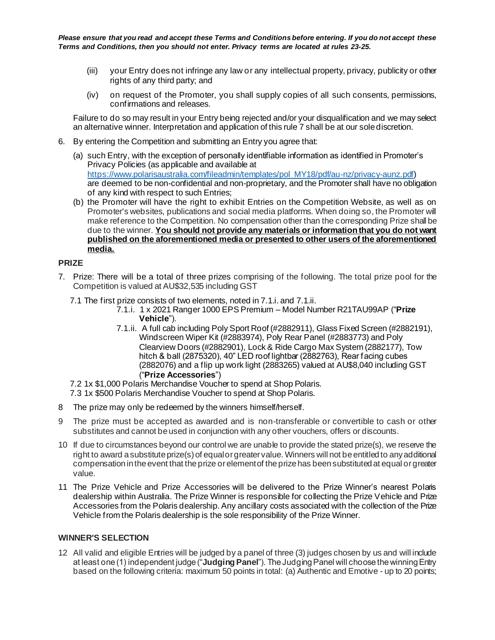*Please ensure that you read and accept these Terms and Conditions before entering. If you do not accept these Terms and Conditions, then you should not enter. Privacy terms are located at rules 23-25.*

- (iii) your Entry does not infringe any law or any intellectual property, privacy, publicity or other rights of any third party; and
- (iv) on request of the Promoter, you shall supply copies of all such consents, permissions, confirmations and releases.

Failure to do so may result in your Entry being rejected and/or your disqualification and we may select an alternative winner. Interpretation and application of this rule 7 shall be at our sole discretion.

- 6. By entering the Competition and submitting an Entry you agree that:
	- (a) such Entry, with the exception of personally identifiable information as identified in Promoter's Privacy Policies (as applicable and available at [https://www.polarisaustralia.com/fileadmin/templates/pol\\_MY18/pdf/au-nz/privacy-aunz.pdf](https://www.polarisaustralia.com/fileadmin/templates/pol_MY18/pdf/au-nz/privacy-aunz.pdf)) are deemed to be non-confidential and non-proprietary, and the Promoter shall have no obligation of any kind with respect to such Entries;
	- (b) the Promoter will have the right to exhibit Entries on the Competition Website, as well as on Promoter's websites, publications and social media platforms. When doing so, the Promoter will make reference to the Competition. No compensation other than the corresponding Prize shall be due to the winner. **You should not provide any materials or information that you do not want published on the aforementioned media or presented to other users of the aforementioned media.**

#### **PRIZE**

- 7. Prize: There will be a total of three prizes comprising of the following. The total prize pool for the Competition is valued at AU\$32,535 including GST
	- 7.1 The first prize consists of two elements, noted in 7.1.i. and 7.1.ii.
		- 7.1.i. 1 x 2021 Ranger 1000 EPS Premium Model Number R21TAU99AP ("**Prize Vehicle**").
		- 7.1.ii. A full cab including Poly Sport Roof (#2882911), Glass Fixed Screen (#2882191), Windscreen Wiper Kit (#2883974), Poly Rear Panel (#2883773) and Poly Clearview Doors (#2882901), Lock & Ride Cargo Max System (2882177), Tow hitch & ball (2875320), 40" LED roof lightbar (2882763), Rear facing cubes (2882076) and a flip up work light (2883265) valued at AU\$8,040 including GST ("**Prize Accessories**")
	- 7.2 1x \$1,000 Polaris Merchandise Voucher to spend at Shop Polaris.
	- 7.3 1x \$500 Polaris Merchandise Voucher to spend at Shop Polaris.
- 8 The prize may only be redeemed by the winners himself/herself.
- 9 The prize must be accepted as awarded and is non-transferable or convertible to cash or other substitutes and cannot be used in conjunction with any other vouchers, offers or discounts.
- 10 If due to circumstances beyond our control we are unable to provide the stated prize(s), we reserve the right to award a substitute prize(s) of equal or greater value. Winners will not be entitled to any additional compensation in the event that the prize or element of the prize has been substituted at equal or greater value.
- 11 The Prize Vehicle and Prize Accessories will be delivered to the Prize Winner's nearest Polaris dealership within Australia. The Prize Winner is responsible for collecting the Prize Vehicle and Prize Accessories from the Polaris dealership. Any ancillary costs associated with the collection of the Prize Vehicle from the Polaris dealership is the sole responsibility of the Prize Winner.

# **WINNER'S SELECTION**

12 All valid and eligible Entries will be judged by a panel of three (3) judges chosen by us and will include at least one (1) independent judge ("**Judging Panel**"). The Judging Panel will choose the winning Entry based on the following criteria: maximum 50 points in total: (a) Authentic and Emotive - up to 20 points;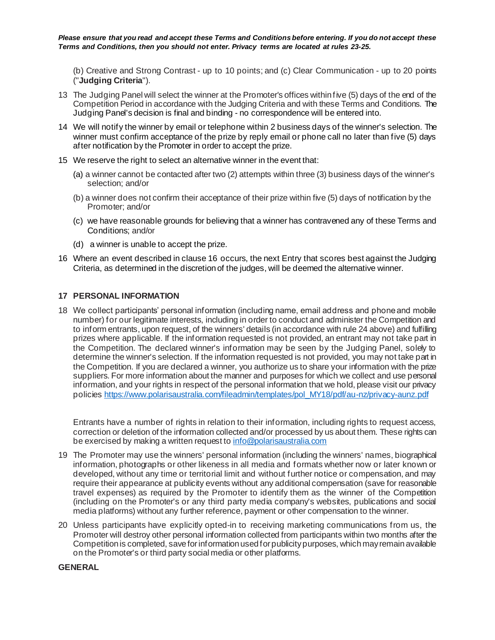(b) Creative and Strong Contrast - up to 10 points; and (c) Clear Communication - up to 20 points ("**Judging Criteria**").

- 13 The Judging Panel will select the winner at the Promoter's offices within five (5) days of the end of the Competition Period in accordance with the Judging Criteria and with these Terms and Conditions. The Judging Panel's decision is final and binding - no correspondence will be entered into.
- 14 We will notify the winner by email or telephone within 2 business days of the winner's selection. The winner must confirm acceptance of the prize by reply email or phone call no later than five (5) days after notification by the Promoter in order to accept the prize.
- 15 We reserve the right to select an alternative winner in the event that:
	- (a) a winner cannot be contacted after two (2) attempts within three (3) business days of the winner's selection; and/or
	- (b) a winner does not confirm their acceptance of their prize within five (5) days of notification by the Promoter; and/or
	- (c) we have reasonable grounds for believing that a winner has contravened any of these Terms and Conditions; and/or
	- (d) a winner is unable to accept the prize.
- 16 Where an event described in clause 16 occurs, the next Entry that scores best against the Judging Criteria, as determined in the discretion of the judges, will be deemed the alternative winner.

### **17 PERSONAL INFORMATION**

18 We collect participants' personal information (including name, email address and phone and mobile number) for our legitimate interests, including in order to conduct and administer the Competition and to inform entrants, upon request, of the winners' details (in accordance with rule 24 above) and fulfilling prizes where applicable. If the information requested is not provided, an entrant may not take part in the Competition. The declared winner's information may be seen by the Judging Panel, solely to determine the winner's selection. If the information requested is not provided, you may not take part in the Competition. If you are declared a winner, you authorize us to share your information with the prize suppliers. For more information about the manner and purposes for which we collect and use personal information, and your rights in respect of the personal information that we hold, please visit our privacy policie[s https://www.polarisaustralia.com/fileadmin/templates/pol\\_MY18/pdf/au-nz/privacy-aunz.pdf](https://www.polarisaustralia.com/fileadmin/templates/pol_MY18/pdf/au-nz/privacy-aunz.pdf)

Entrants have a number of rights in relation to their information, including rights to request access, correction or deletion of the information collected and/or processed by us about them. These rights can be exercised by making a written request t[o info@polarisaustralia.com](mailto:info@polarisaustralia.com)

- 19 The Promoter may use the winners' personal information (including the winners' names, biographical information, photographs or other likeness in all media and formats whether now or later known or developed, without any time or territorial limit and without further notice or compensation, and may require their appearance at publicity events without any additional compensation (save for reasonable travel expenses) as required by the Promoter to identify them as the winner of the Competition (including on the Promoter's or any third party media company's websites, publications and social media platforms) without any further reference, payment or other compensation to the winner.
- 20 Unless participants have explicitly opted-in to receiving marketing communications from us, the Promoter will destroy other personal information collected from participants within two months after the Competition is completed, save for information used for publicity purposes, which may remain available on the Promoter's or third party social media or other platforms.

#### **GENERAL**